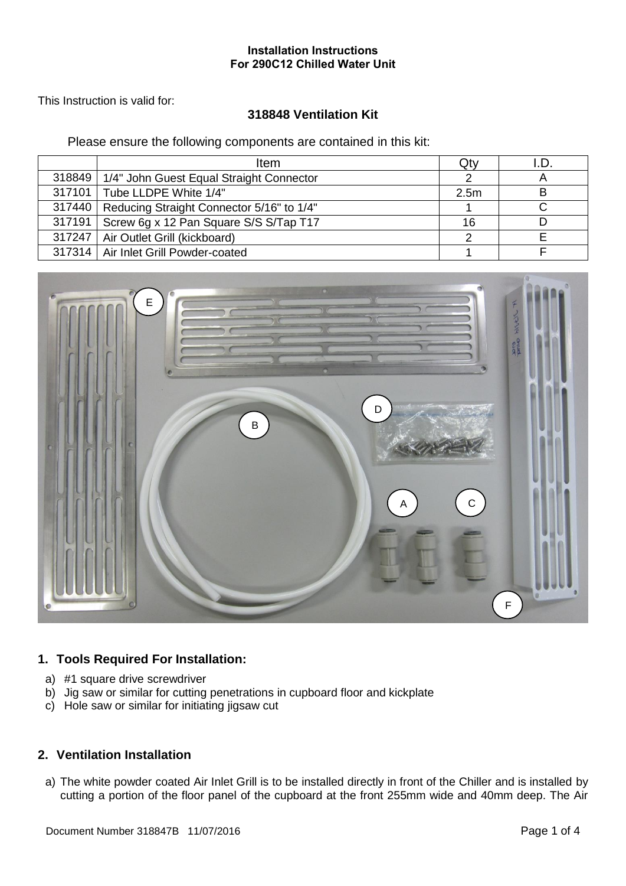This Instruction is valid for:

# **318848 Ventilation Kit**

Please ensure the following components are contained in this kit:

|        | <b>Item</b>                               | Qty              |   |
|--------|-------------------------------------------|------------------|---|
| 318849 | 1/4" John Guest Equal Straight Connector  |                  |   |
|        | 317101   Tube LLDPE White 1/4"            | 2.5 <sub>m</sub> | В |
| 317440 | Reducing Straight Connector 5/16" to 1/4" |                  |   |
| 317191 | Screw 6g x 12 Pan Square S/S S/Tap T17    | 16               |   |
|        | 317247   Air Outlet Grill (kickboard)     | ◠                |   |
|        | 317314   Air Inlet Grill Powder-coated    |                  |   |



### **1. Tools Required For Installation:**

- a) #1 square drive screwdriver
- b) Jig saw or similar for cutting penetrations in cupboard floor and kickplate
- c) Hole saw or similar for initiating jigsaw cut

### **2. Ventilation Installation**

a) The white powder coated Air Inlet Grill is to be installed directly in front of the Chiller and is installed by cutting a portion of the floor panel of the cupboard at the front 255mm wide and 40mm deep. The Air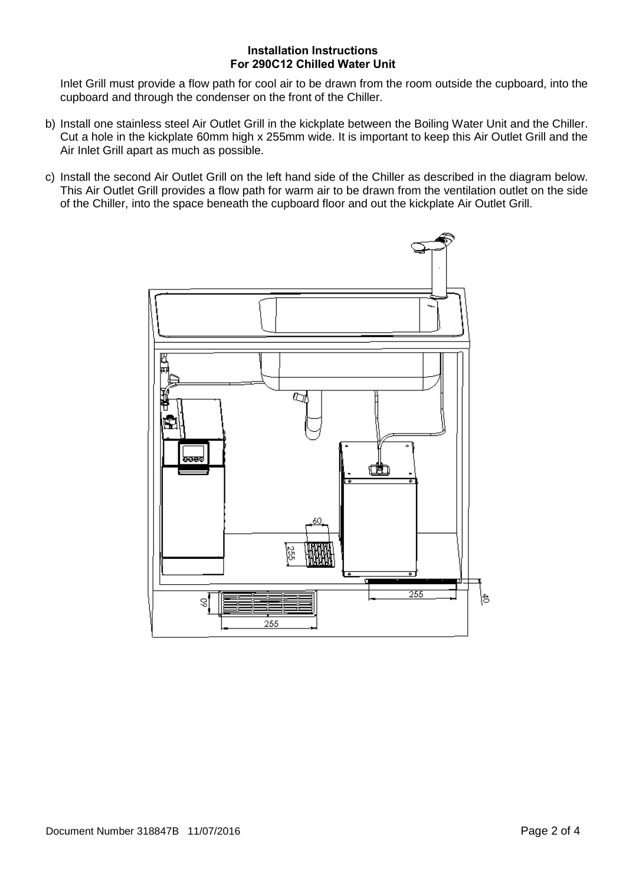Inlet Grill must provide a flow path for cool air to be drawn from the room outside the cupboard, into the cupboard and through the condenser on the front of the Chiller.

- b) Install one stainless steel Air Outlet Grill in the kickplate between the Boiling Water Unit and the Chiller. Cut a hole in the kickplate 60mm high x 255mm wide. It is important to keep this Air Outlet Grill and the Air Inlet Grill apart as much as possible.
- c) Install the second Air Outlet Grill on the left hand side of the Chiller as described in the diagram below. This Air Outlet Grill provides a flow path for warm air to be drawn from the ventilation outlet on the side of the Chiller, into the space beneath the cupboard floor and out the kickplate Air Outlet Grill.

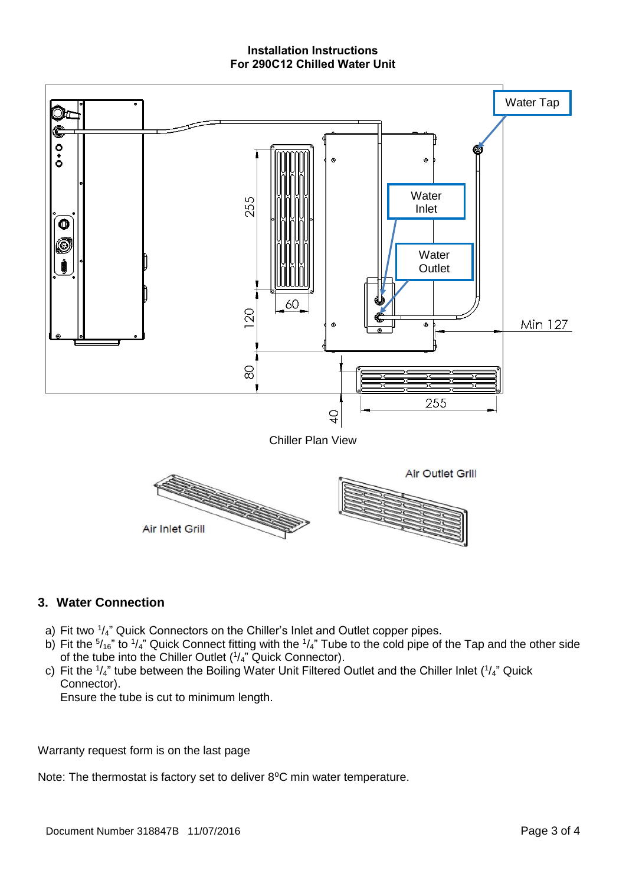

### **3. Water Connection**

- a) Fit two  $\frac{1}{4}$ " Quick Connectors on the Chiller's Inlet and Outlet copper pipes.
- b) Fit the  $\frac{5}{16}$ " to  $\frac{1}{4}$ " Quick Connect fitting with the  $\frac{1}{4}$ " Tube to the cold pipe of the Tap and the other side of the tube into the Chiller Outlet  $(1/4)$ " Quick Connector).
- c) Fit the  $\frac{1}{4}$  tube between the Boiling Water Unit Filtered Outlet and the Chiller Inlet  $\left(\frac{1}{4}\right)$  Quick Connector).

Ensure the tube is cut to minimum length.

Warranty request form is on the last page

Note: The thermostat is factory set to deliver 8°C min water temperature.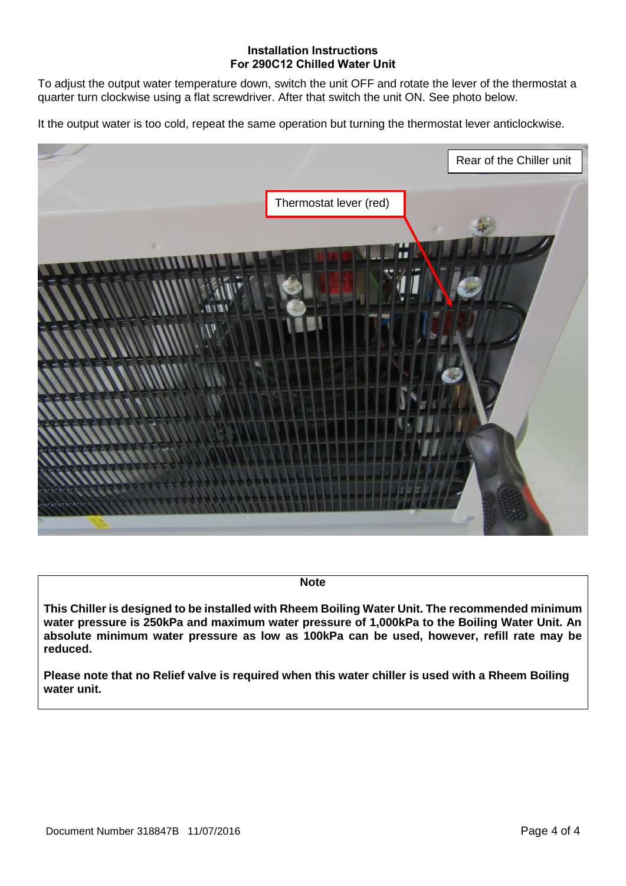To adjust the output water temperature down, switch the unit OFF and rotate the lever of the thermostat a quarter turn clockwise using a flat screwdriver. After that switch the unit ON. See photo below.

It the output water is too cold, repeat the same operation but turning the thermostat lever anticlockwise.



**Note**

**This Chiller is designed to be installed with Rheem Boiling Water Unit. The recommended minimum water pressure is 250kPa and maximum water pressure of 1,000kPa to the Boiling Water Unit. An absolute minimum water pressure as low as 100kPa can be used, however, refill rate may be reduced.**

**Please note that no Relief valve is required when this water chiller is used with a Rheem Boiling water unit.**